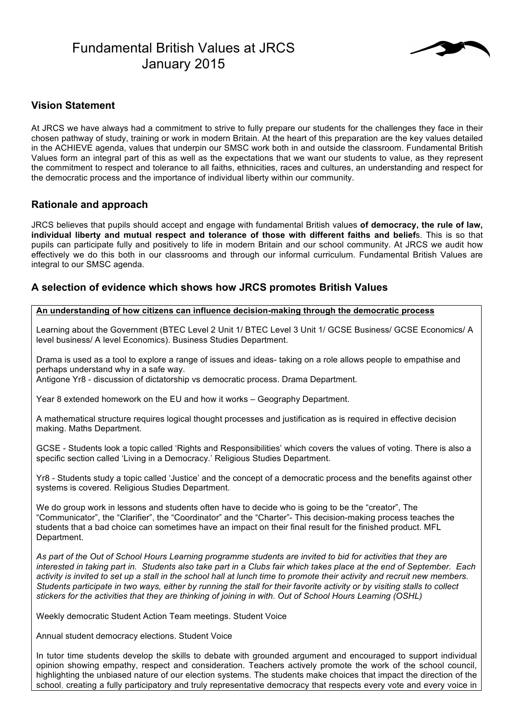# Fundamental British Values at JRCS January 2015



## **Vision Statement**

At JRCS we have always had a commitment to strive to fully prepare our students for the challenges they face in their chosen pathway of study, training or work in modern Britain. At the heart of this preparation are the key values detailed in the ACHIEVE agenda, values that underpin our SMSC work both in and outside the classroom. Fundamental British Values form an integral part of this as well as the expectations that we want our students to value, as they represent the commitment to respect and tolerance to all faiths, ethnicities, races and cultures, an understanding and respect for the democratic process and the importance of individual liberty within our community.

## **Rationale and approach**

JRCS believes that pupils should accept and engage with fundamental British values **of democracy, the rule of law, individual liberty and mutual respect and tolerance of those with different faiths and belief**s. This is so that pupils can participate fully and positively to life in modern Britain and our school community. At JRCS we audit how effectively we do this both in our classrooms and through our informal curriculum. Fundamental British Values are integral to our SMSC agenda.

## **A selection of evidence which shows how JRCS promotes British Values**

#### **An understanding of how citizens can influence decision-making through the democratic process**

Learning about the Government (BTEC Level 2 Unit 1/ BTEC Level 3 Unit 1/ GCSE Business/ GCSE Economics/ A level business/ A level Economics). Business Studies Department.

Drama is used as a tool to explore a range of issues and ideas- taking on a role allows people to empathise and perhaps understand why in a safe way.

Antigone Yr8 - discussion of dictatorship vs democratic process. Drama Department.

Year 8 extended homework on the EU and how it works – Geography Department.

A mathematical structure requires logical thought processes and justification as is required in effective decision making. Maths Department.

GCSE - Students look a topic called 'Rights and Responsibilities' which covers the values of voting. There is also a specific section called 'Living in a Democracy.' Religious Studies Department.

Yr8 - Students study a topic called 'Justice' and the concept of a democratic process and the benefits against other systems is covered. Religious Studies Department.

We do group work in lessons and students often have to decide who is going to be the "creator", The "Communicator", the "Clarifier", the "Coordinator" and the "Charter"- This decision-making process teaches the students that a bad choice can sometimes have an impact on their final result for the finished product. MFL Department.

*As part of the Out of School Hours Learning programme students are invited to bid for activities that they are interested in taking part in. Students also take part in a Clubs fair which takes place at the end of September. Each activity is invited to set up a stall in the school hall at lunch time to promote their activity and recruit new members. Students participate in two ways, either by running the stall for their favorite activity or by visiting stalls to collect stickers for the activities that they are thinking of joining in with. Out of School Hours Learning (OSHL)*

Weekly democratic Student Action Team meetings. Student Voice

Annual student democracy elections. Student Voice

In tutor time students develop the skills to debate with grounded argument and encouraged to support individual opinion showing empathy, respect and consideration. Teachers actively promote the work of the school council, highlighting the unbiased nature of our election systems. The students make choices that impact the direction of the school, creating a fully participatory and truly representative democracy that respects every vote and every voice in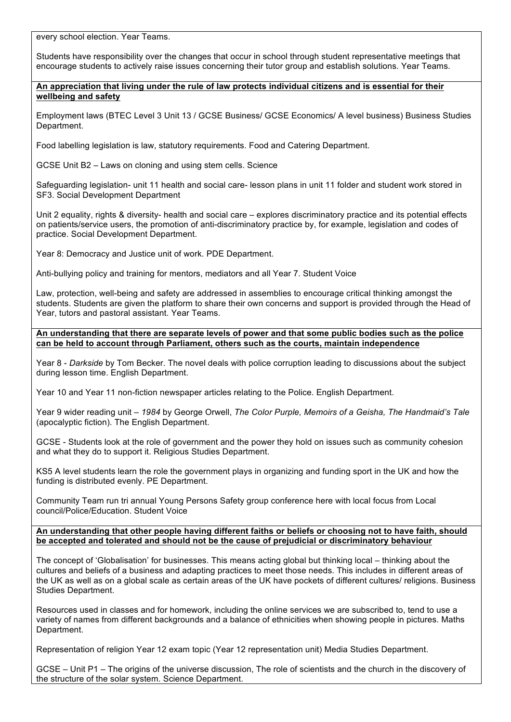every school election. Year Teams.

Students have responsibility over the changes that occur in school through student representative meetings that encourage students to actively raise issues concerning their tutor group and establish solutions. Year Teams.

**An appreciation that living under the rule of law protects individual citizens and is essential for their wellbeing and safety**

Employment laws (BTEC Level 3 Unit 13 / GCSE Business/ GCSE Economics/ A level business) Business Studies Department.

Food labelling legislation is law, statutory requirements. Food and Catering Department.

GCSE Unit B2 – Laws on cloning and using stem cells. Science

Safeguarding legislation- unit 11 health and social care- lesson plans in unit 11 folder and student work stored in SF3. Social Development Department

Unit 2 equality, rights & diversity- health and social care – explores discriminatory practice and its potential effects on patients/service users, the promotion of anti-discriminatory practice by, for example, legislation and codes of practice. Social Development Department.

Year 8: Democracy and Justice unit of work. PDE Department.

Anti-bullying policy and training for mentors, mediators and all Year 7. Student Voice

Law, protection, well-being and safety are addressed in assemblies to encourage critical thinking amongst the students. Students are given the platform to share their own concerns and support is provided through the Head of Year, tutors and pastoral assistant. Year Teams.

**An understanding that there are separate levels of power and that some public bodies such as the police can be held to account through Parliament, others such as the courts, maintain independence**

Year 8 - *Darkside* by Tom Becker. The novel deals with police corruption leading to discussions about the subject during lesson time. English Department.

Year 10 and Year 11 non-fiction newspaper articles relating to the Police. English Department.

Year 9 wider reading unit – *1984* by George Orwell, *The Color Purple, Memoirs of a Geisha, The Handmaid's Tale*  (apocalyptic fiction). The English Department.

GCSE - Students look at the role of government and the power they hold on issues such as community cohesion and what they do to support it. Religious Studies Department.

KS5 A level students learn the role the government plays in organizing and funding sport in the UK and how the funding is distributed evenly. PE Department.

Community Team run tri annual Young Persons Safety group conference here with local focus from Local council/Police/Education. Student Voice

**An understanding that other people having different faiths or beliefs or choosing not to have faith, should be accepted and tolerated and should not be the cause of prejudicial or discriminatory behaviour**

The concept of 'Globalisation' for businesses. This means acting global but thinking local – thinking about the cultures and beliefs of a business and adapting practices to meet those needs. This includes in different areas of the UK as well as on a global scale as certain areas of the UK have pockets of different cultures/ religions. Business Studies Department.

Resources used in classes and for homework, including the online services we are subscribed to, tend to use a variety of names from different backgrounds and a balance of ethnicities when showing people in pictures. Maths Department.

Representation of religion Year 12 exam topic (Year 12 representation unit) Media Studies Department.

GCSE – Unit P1 – The origins of the universe discussion, The role of scientists and the church in the discovery of the structure of the solar system. Science Department.